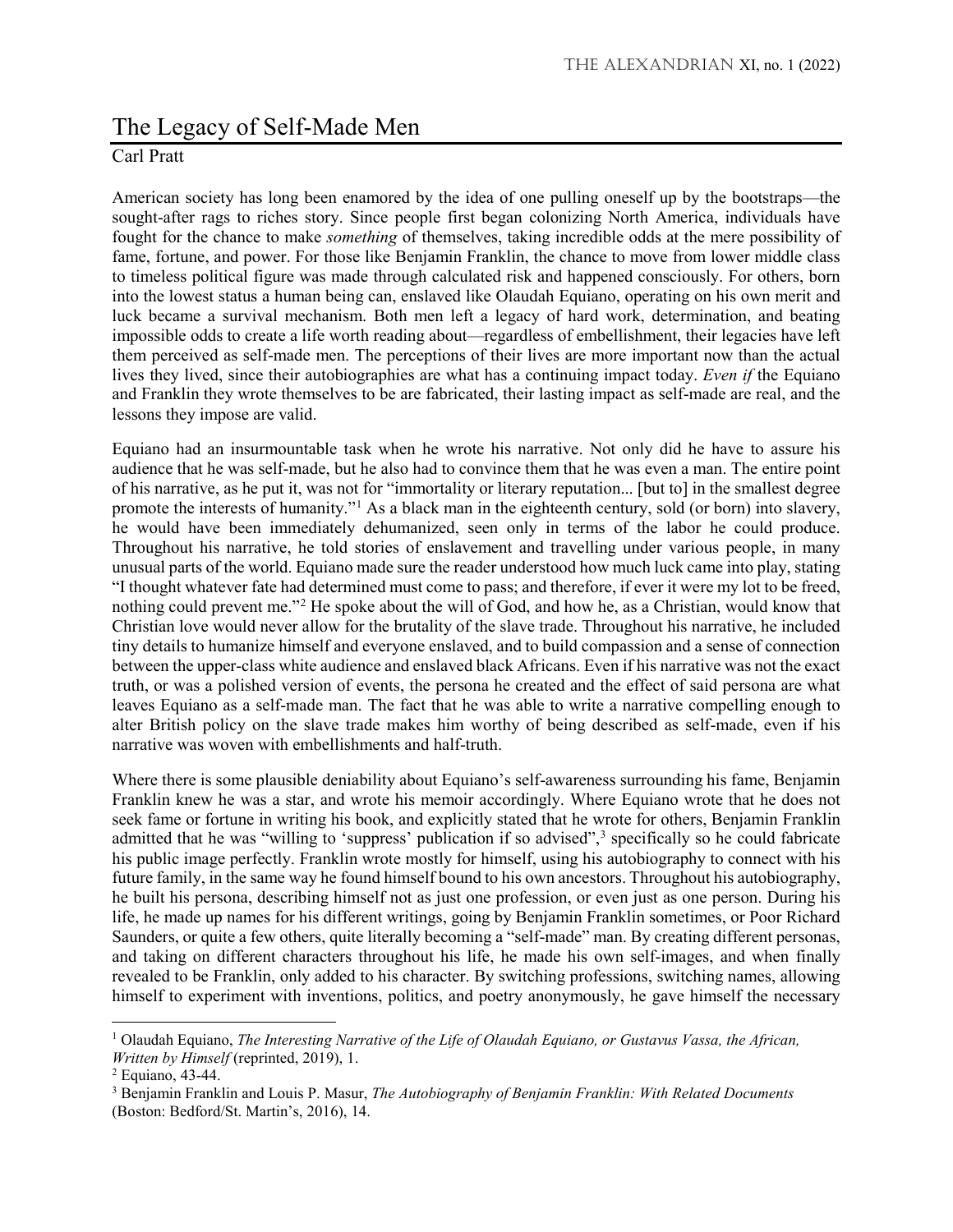## The Legacy of Self-Made Men

## Carl Pratt

American society has long been enamored by the idea of one pulling oneself up by the bootstraps—the sought-after rags to riches story. Since people first began colonizing North America, individuals have fought for the chance to make *something* of themselves, taking incredible odds at the mere possibility of fame, fortune, and power. For those like Benjamin Franklin, the chance to move from lower middle class to timeless political figure was made through calculated risk and happened consciously. For others, born into the lowest status a human being can, enslaved like Olaudah Equiano, operating on his own merit and luck became a survival mechanism. Both men left a legacy of hard work, determination, and beating impossible odds to create a life worth reading about—regardless of embellishment, their legacies have left them perceived as self-made men. The perceptions of their lives are more important now than the actual lives they lived, since their autobiographies are what has a continuing impact today. *Even if* the Equiano and Franklin they wrote themselves to be are fabricated, their lasting impact as self-made are real, and the lessons they impose are valid.

Equiano had an insurmountable task when he wrote his narrative. Not only did he have to assure his audience that he was self-made, but he also had to convince them that he was even a man. The entire point of his narrative, as he put it, was not for "immortality or literary reputation... [but to] in the smallest degree promote the interests of humanity."<sup>[1](#page-0-0)</sup> As a black man in the eighteenth century, sold (or born) into slavery, he would have been immediately dehumanized, seen only in terms of the labor he could produce. Throughout his narrative, he told stories of enslavement and travelling under various people, in many unusual parts of the world. Equiano made sure the reader understood how much luck came into play, stating "I thought whatever fate had determined must come to pass; and therefore, if ever it were my lot to be freed, nothing could prevent me."[2](#page-0-1) He spoke about the will of God, and how he, as a Christian, would know that Christian love would never allow for the brutality of the slave trade. Throughout his narrative, he included tiny details to humanize himself and everyone enslaved, and to build compassion and a sense of connection between the upper-class white audience and enslaved black Africans. Even if his narrative was not the exact truth, or was a polished version of events, the persona he created and the effect of said persona are what leaves Equiano as a self-made man. The fact that he was able to write a narrative compelling enough to alter British policy on the slave trade makes him worthy of being described as self-made, even if his narrative was woven with embellishments and half-truth.

Where there is some plausible deniability about Equiano's self-awareness surrounding his fame, Benjamin Franklin knew he was a star, and wrote his memoir accordingly. Where Equiano wrote that he does not seek fame or fortune in writing his book, and explicitly stated that he wrote for others, Benjamin Franklin admitted that he was "willing to 'suppress' publication if so advised",<sup>[3](#page-0-2)</sup> specifically so he could fabricate his public image perfectly. Franklin wrote mostly for himself, using his autobiography to connect with his future family, in the same way he found himself bound to his own ancestors. Throughout his autobiography, he built his persona, describing himself not as just one profession, or even just as one person. During his life, he made up names for his different writings, going by Benjamin Franklin sometimes, or Poor Richard Saunders, or quite a few others, quite literally becoming a "self-made" man. By creating different personas, and taking on different characters throughout his life, he made his own self-images, and when finally revealed to be Franklin, only added to his character. By switching professions, switching names, allowing himself to experiment with inventions, politics, and poetry anonymously, he gave himself the necessary

 $\overline{\phantom{a}}$ 

<span id="page-0-0"></span><sup>1</sup> Olaudah Equiano, *The Interesting Narrative of the Life of Olaudah Equiano, or Gustavus Vassa, the African, Written by Himself* (reprinted, 2019), 1.<br><sup>2</sup> Equiano, 43-44.

<span id="page-0-1"></span>

<span id="page-0-2"></span><sup>3</sup> Benjamin Franklin and Louis P. Masur, *The Autobiography of Benjamin Franklin: With Related Documents* (Boston: Bedford/St. Martin's, 2016), 14.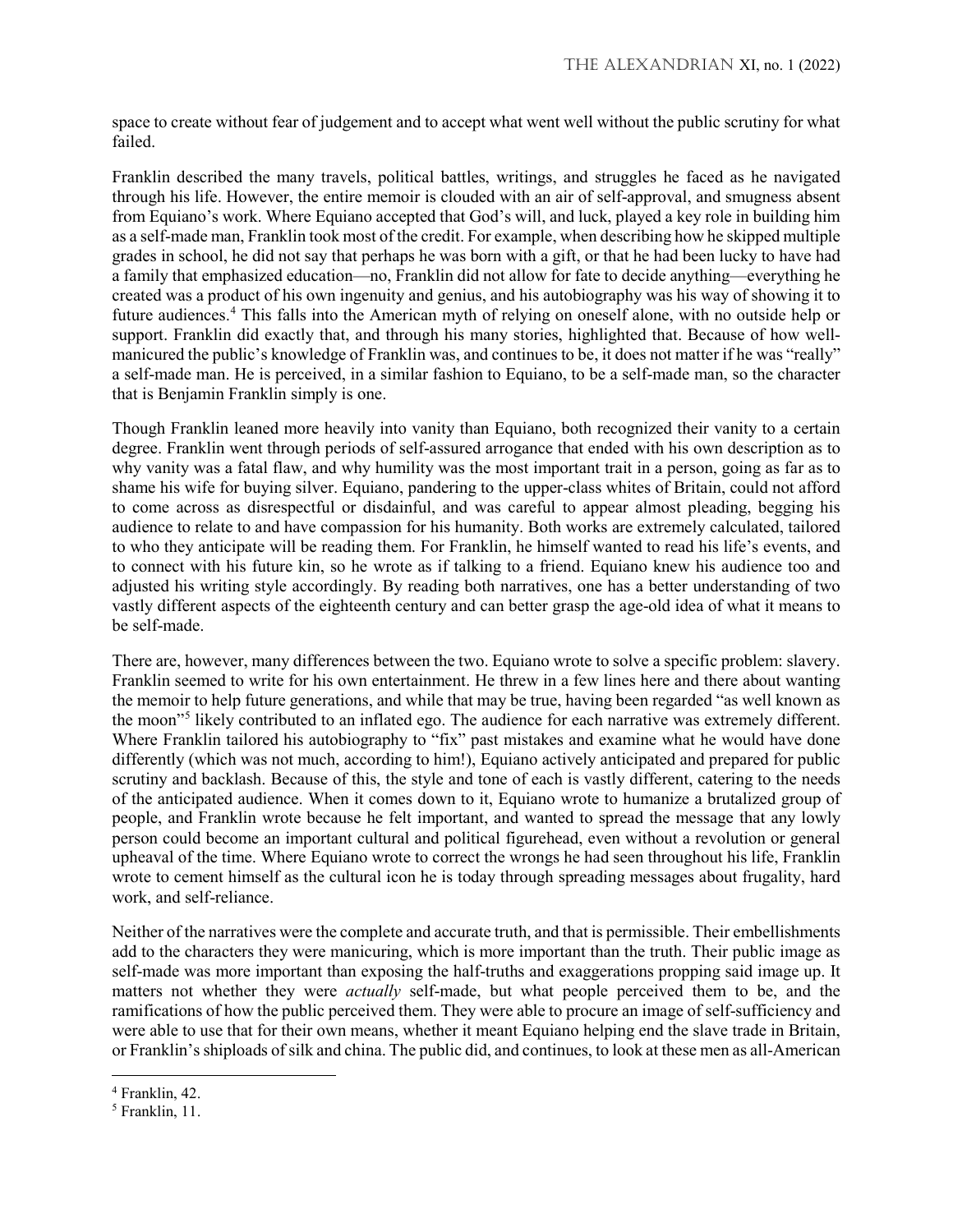space to create without fear of judgement and to accept what went well without the public scrutiny for what failed.

Franklin described the many travels, political battles, writings, and struggles he faced as he navigated through his life. However, the entire memoir is clouded with an air of self-approval, and smugness absent from Equiano's work. Where Equiano accepted that God's will, and luck, played a key role in building him as a self-made man, Franklin took most of the credit. For example, when describing how he skipped multiple grades in school, he did not say that perhaps he was born with a gift, or that he had been lucky to have had a family that emphasized education—no, Franklin did not allow for fate to decide anything—everything he created was a product of his own ingenuity and genius, and his autobiography was his way of showing it to future audiences.[4](#page-1-0) This falls into the American myth of relying on oneself alone, with no outside help or support. Franklin did exactly that, and through his many stories, highlighted that. Because of how wellmanicured the public's knowledge of Franklin was, and continues to be, it does not matter if he was "really" a self-made man. He is perceived, in a similar fashion to Equiano, to be a self-made man, so the character that is Benjamin Franklin simply is one.

Though Franklin leaned more heavily into vanity than Equiano, both recognized their vanity to a certain degree. Franklin went through periods of self-assured arrogance that ended with his own description as to why vanity was a fatal flaw, and why humility was the most important trait in a person, going as far as to shame his wife for buying silver. Equiano, pandering to the upper-class whites of Britain, could not afford to come across as disrespectful or disdainful, and was careful to appear almost pleading, begging his audience to relate to and have compassion for his humanity. Both works are extremely calculated, tailored to who they anticipate will be reading them. For Franklin, he himself wanted to read his life's events, and to connect with his future kin, so he wrote as if talking to a friend. Equiano knew his audience too and adjusted his writing style accordingly. By reading both narratives, one has a better understanding of two vastly different aspects of the eighteenth century and can better grasp the age-old idea of what it means to be self-made.

There are, however, many differences between the two. Equiano wrote to solve a specific problem: slavery. Franklin seemed to write for his own entertainment. He threw in a few lines here and there about wanting the memoir to help future generations, and while that may be true, having been regarded "as well known as the moon"[5](#page-1-1) likely contributed to an inflated ego. The audience for each narrative was extremely different. Where Franklin tailored his autobiography to "fix" past mistakes and examine what he would have done differently (which was not much, according to him!), Equiano actively anticipated and prepared for public scrutiny and backlash. Because of this, the style and tone of each is vastly different, catering to the needs of the anticipated audience. When it comes down to it, Equiano wrote to humanize a brutalized group of people, and Franklin wrote because he felt important, and wanted to spread the message that any lowly person could become an important cultural and political figurehead, even without a revolution or general upheaval of the time. Where Equiano wrote to correct the wrongs he had seen throughout his life, Franklin wrote to cement himself as the cultural icon he is today through spreading messages about frugality, hard work, and self-reliance.

Neither of the narratives were the complete and accurate truth, and that is permissible. Their embellishments add to the characters they were manicuring, which is more important than the truth. Their public image as self-made was more important than exposing the half-truths and exaggerations propping said image up. It matters not whether they were *actually* self-made, but what people perceived them to be, and the ramifications of how the public perceived them. They were able to procure an image of self-sufficiency and were able to use that for their own means, whether it meant Equiano helping end the slave trade in Britain, or Franklin's shiploads of silk and china. The public did, and continues, to look at these men as all-American

l

<span id="page-1-0"></span><sup>4</sup> Franklin, 42.

<span id="page-1-1"></span><sup>5</sup> Franklin, 11.